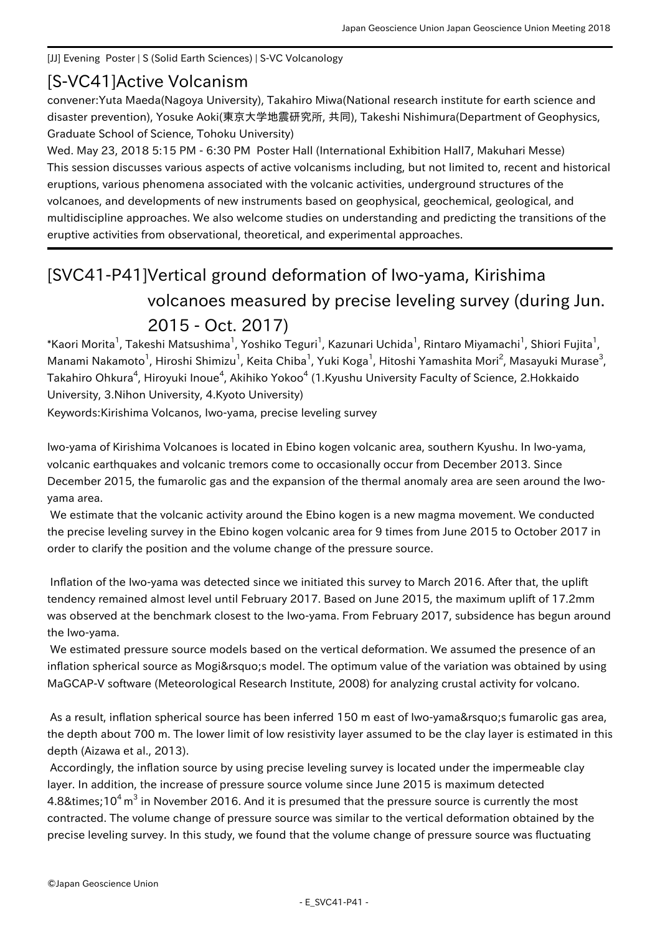## [JJ] Evening Poster | S (Solid Earth Sciences) | S-VC Volcanology

## [S-VC41] Active Volcanism

convener:Yuta Maeda(Nagoya University), Takahiro Miwa(National research institute for earth science and disaster prevention), Yosuke Aoki(東京大学地震研究所, 共同), Takeshi Nishimura(Department of Geophysics, Graduate School of Science, Tohoku University)

Wed. May 23, 2018 5:15 PM - 6:30 PM Poster Hall (International Exhibition Hall7, Makuhari Messe) This session discusses various aspects of active volcanisms including, but not limited to, recent and historical eruptions, various phenomena associated with the volcanic activities, underground structures of the volcanoes, and developments of new instruments based on geophysical, geochemical, geological, and multidiscipline approaches. We also welcome studies on understanding and predicting the transitions of the eruptive activities from observational, theoretical, and experimental approaches.

## [SVC41-P41] Vertical ground deformation of Iwo-yama, Kirishima volcanoes measured by precise leveling survey (during Jun. 2015 - Oct. 2017)

\*Kaori Morita<sup>1</sup>, Takeshi Matsushima<sup>1</sup>, Yoshiko Teguri<sup>1</sup>, Kazunari Uchida<sup>1</sup>, Rintaro Miyamachi<sup>1</sup>, Shiori Fujita<sup>1</sup>, Manami Nakamoto<sup>1</sup>, Hiroshi Shimizu<sup>1</sup>, Keita Chiba<sup>1</sup>, Yuki Koga<sup>1</sup>, Hitoshi Yamashita Mori<sup>2</sup>, Masayuki Murase<sup>3</sup>, Takahiro Ohkura<sup>4</sup>, Hiroyuki Inoue<sup>4</sup>, Akihiko Yokoo<sup>4</sup> (1.Kyushu University Faculty of Science, 2.Hokkaido University, 3.Nihon University, 4.Kyoto University)

Keywords:Kirishima Volcanos, Iwo-yama, precise leveling survey

Iwo-yama of Kirishima Volcanoes is located in Ebino kogen volcanic area, southern Kyushu. In Iwo-yama, volcanic earthquakes and volcanic tremors come to occasionally occur from December 2013. Since December 2015, the fumarolic gas and the expansion of the thermal anomaly area are seen around the Iwoyama area.

 We estimate that the volcanic activity around the Ebino kogen is a new magma movement. We conducted the precise leveling survey in the Ebino kogen volcanic area for 9 times from June 2015 to October 2017 in order to clarify the position and the volume change of the pressure source.

 Inflation of the Iwo-yama was detected since we initiated this survey to March 2016. After that, the uplift tendency remained almost level until February 2017. Based on June 2015, the maximum uplift of 17.2mm was observed at the benchmark closest to the Iwo-yama. From February 2017, subsidence has begun around the Iwo-yama.

 We estimated pressure source models based on the vertical deformation. We assumed the presence of an inflation spherical source as Mogi's model. The optimum value of the variation was obtained by using MaGCAP-V software (Meteorological Research Institute, 2008) for analyzing crustal activity for volcano.

As a result, inflation spherical source has been inferred 150 m east of Iwo-yama' sfumarolic gas area, the depth about 700 m. The lower limit of low resistivity layer assumed to be the clay layer is estimated in this depth (Aizawa et al., 2013).

 Accordingly, the inflation source by using precise leveling survey is located under the impermeable clay layer. In addition, the increase of pressure source volume since June 2015 is maximum detected 4.8×10<sup>4</sup> m $^3$  in November 2016. And it is presumed that the pressure source is currently the most contracted. The volume change of pressure source was similar to the vertical deformation obtained by the precise leveling survey. In this study, we found that the volume change of pressure source was fluctuating